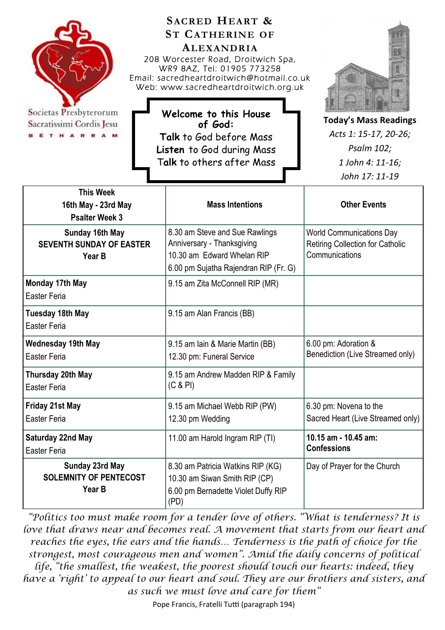

Societas Presbyterorum Sacratissimi Cordis Jesu **ETHARRAM** 

**SACRED HEART & ST CATHERINE OF ALEXANDRIA** 208 Worcester Road, Droitwich Spa, WR9 8AZ, Tel: 01905 773258 Email: sacredheartdroitwich@hotmail.co.uk Web: www.sacredheartdroitwich.org.uk

**Welcome to this House of God: Talk** to God before Mass **Listen** to God during Mass T**alk** to others after Mass

**Today's Mass Readings** *Acts 1: 15-17, 20-26; Psalm 102; 1 John 4: 11-16; John 17: 11-19* 

| <b>This Week</b><br>16th May - 23rd May<br><b>Psalter Week 3</b> | <b>Mass Intentions</b>                                                                                                              | <b>Other Events</b>                                                                          |
|------------------------------------------------------------------|-------------------------------------------------------------------------------------------------------------------------------------|----------------------------------------------------------------------------------------------|
| Sunday 16th May<br><b>SEVENTH SUNDAY OF EASTER</b><br>Year B     | 8.30 am Steve and Sue Rawlings<br>Anniversary - Thanksgiving<br>10.30 am Edward Whelan RIP<br>6.00 pm Sujatha Rajendran RIP (Fr. G) | <b>World Communications Day</b><br><b>Retiring Collection for Catholic</b><br>Communications |
| Monday 17th May<br>Easter Feria                                  | 9.15 am Zita McConnell RIP (MR)                                                                                                     |                                                                                              |
| <b>Tuesday 18th May</b><br>Easter Feria                          | 9.15 am Alan Francis (BB)                                                                                                           |                                                                                              |
| <b>Wednesday 19th May</b><br><b>Easter Feria</b>                 | 9.15 am Iain & Marie Martin (BB)<br>12.30 pm: Funeral Service                                                                       | 6.00 pm: Adoration &<br>Benediction (Live Streamed only)                                     |
| Thursday 20th May<br><b>Easter Feria</b>                         | 9.15 am Andrew Madden RIP & Family<br>(C & P)                                                                                       |                                                                                              |
| Friday 21st May<br><b>Easter Feria</b>                           | 9.15 am Michael Webb RIP (PW)<br>12.30 pm Wedding                                                                                   | 6.30 pm: Novena to the<br>Sacred Heart (Live Streamed only)                                  |
| <b>Saturday 22nd May</b><br>Easter Feria                         | 11.00 am Harold Ingram RIP (TI)                                                                                                     | 10.15 am - 10.45 am:<br><b>Confessions</b>                                                   |
| Sunday 23rd May<br><b>SOLEMNITY OF PENTECOST</b><br>Year B       | 8.30 am Patricia Watkins RIP (KG)<br>10.30 am Siwan Smith RIP (CP)<br>6.00 pm Bernadette Violet Duffy RIP<br>(PD)                   | Day of Prayer for the Church                                                                 |

*"Politics too must make room for a tender love of others. "What is tenderness? It is love that draws near and becomes real. A movement that starts from our heart and reaches the eyes, the ears and the hands… Tenderness is the path of choice for the strongest, most courageous men and women". Amid the daily concerns of political life, "the smallest, the weakest, the poorest should touch our hearts: indeed, they have a 'right' to appeal to our heart and soul. They are our brothers and sisters, and as such we must love and care for them"*

Pope Francis, Fratelli Tutti (paragraph 194)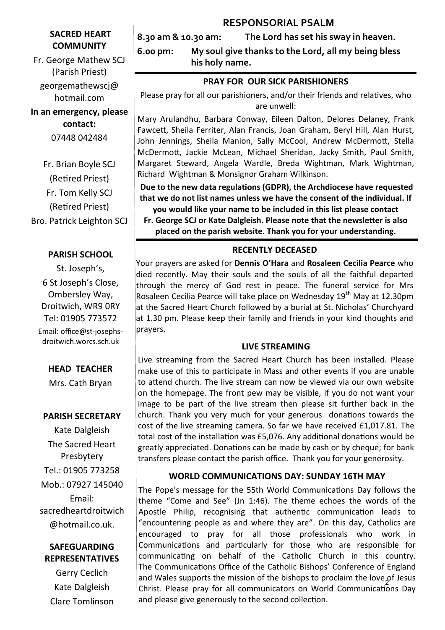# **RESPONSORIAL PSALM**

# **SACRED HEART COMMUNITY**

Fr. George Mathew SCJ (Parish Priest) georgemathewscj@ hotmail.com

# **In an emergency, please contact:** 07448 042484

Fr. Brian Boyle SCJ (Retired Priest) Fr. Tom Kelly SCJ (Retired Priest) Bro. Patrick Leighton SCJ

# **PARISH SCHOOL**

St. Joseph's, 6 St Joseph's Close, Ombersley Way, Droitwich, WR9 0RY Tel: 01905 773572 Email: office@st-josephsdroitwich.worcs.sch.uk

# **HEAD TEACHER**

Mrs. Cath Bryan

# **PARISH SECRETARY**

Kate Dalgleish The Sacred Heart Presbytery Tel.: 01905 773258 Mob.: 07927 145040 Email: sacredheartdroitwich @hotmail.co.uk.

# **SAFEGUARDING REPRESENTATIVES**

Gerry Ceclich Kate Dalgleish Clare Tomlinson **8.30 am & 10.30 am: The Lord has set his sway in heaven.**

**6.00 pm: My soul give thanks to the Lord, all my being bless his holy name.**

# **PRAY FOR OUR SICK PARISHIONERS**

Please pray for all our parishioners, and/or their friends and relatives, who are unwell:

Mary Arulandhu, Barbara Conway, Eileen Dalton, Delores Delaney, Frank Fawcett, Sheila Ferriter, Alan Francis, Joan Graham, Beryl Hill, Alan Hurst, John Jennings, Sheila Manion, Sally McCool, Andrew McDermott, Stella McDermott, Jackie McLean, Michael Sheridan, Jacky Smith, Paul Smith, Margaret Steward, Angela Wardle, Breda Wightman, Mark Wightman, Richard Wightman & Monsignor Graham Wilkinson.

**Due to the new data regulations (GDPR), the Archdiocese have requested that we do not list names unless we have the consent of the individual. If you would like your name to be included in this list please contact** 

**Fr. George SCJ or Kate Dalgleish. Please note that the newsletter is also placed on the parish website. Thank you for your understanding.**

# **RECENTLY DECEASED**

Your prayers are asked for **Dennis O'Hara** and **Rosaleen Cecilia Pearce** who died recently. May their souls and the souls of all the faithful departed through the mercy of God rest in peace. The funeral service for Mrs Rosaleen Cecilia Pearce will take place on Wednesday 19<sup>th</sup> May at 12.30pm at the Sacred Heart Church followed by a burial at St. Nicholas' Churchyard at 1.30 pm. Please keep their family and friends in your kind thoughts and prayers.

#### **LIVE STREAMING**

Live streaming from the Sacred Heart Church has been installed. Please make use of this to participate in Mass and other events if you are unable to attend church. The live stream can now be viewed via our own website on the homepage. The front pew may be visible, if you do not want your image to be part of the live stream then please sit further back in the church. Thank you very much for your generous donations towards the cost of the live streaming camera. So far we have received £1,017.81. The total cost of the installation was £5,076. Any additional donations would be greatly appreciated. Donations can be made by cash or by cheque; for bank transfers please contact the parish office. Thank you for your generosity.

# **WORLD COMMUNICATIONS DAY: SUNDAY 16TH MAY**

and Wales supports the mission of the bishops to proclaim the love of Jesus The Pope's message for the 55th World Communications Day follows the theme "Come and See" (Jn 1:46). The theme echoes the words of the Apostle Philip, recognising that authentic communication leads to "encountering people as and where they are". On this day, Catholics are encouraged to pray for all those professionals who work in Communications and particularly for those who are responsible for communicating on behalf of the Catholic Church in this country. The Communications Office of the Catholic Bishops' Conference of England Christ. Please pray for all communicators on World Communications Day and please give generously to the second collection.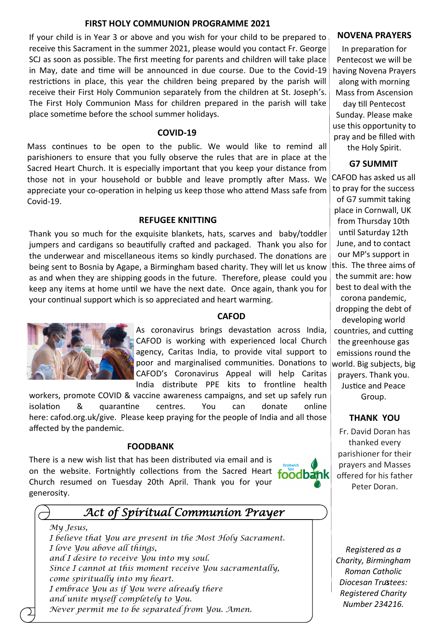#### **FIRST HOLY COMMUNION PROGRAMME 2021**

If your child is in Year 3 or above and you wish for your child to be prepared to receive this Sacrament in the summer 2021, please would you contact Fr. George SCJ as soon as possible. The first meeting for parents and children will take place in May, date and time will be announced in due course. Due to the Covid-19 restrictions in place, this year the children being prepared by the parish will receive their First Holy Communion separately from the children at St. Joseph's. The First Holy Communion Mass for children prepared in the parish will take place sometime before the school summer holidays.

#### **COVID-19**

Mass continues to be open to the public. We would like to remind all parishioners to ensure that you fully observe the rules that are in place at the Sacred Heart Church. It is especially important that you keep your distance from those not in your household or bubble and leave promptly after Mass. We appreciate your co-operation in helping us keep those who attend Mass safe from Covid-19.

#### **REFUGEE KNITTING**

Thank you so much for the exquisite blankets, hats, scarves and baby/toddler jumpers and cardigans so beautifully crafted and packaged. Thank you also for the underwear and miscellaneous items so kindly purchased. The donations are being sent to Bosnia by Agape, a Birmingham based charity. They will let us know as and when they are shipping goods in the future. Therefore, please could you keep any items at home until we have the next date. Once again, thank you for your continual support which is so appreciated and heart warming.



#### **CAFOD**

As coronavirus brings devastation across India, CAFOD is working with experienced local Church agency, Caritas India, to provide vital support to poor and marginalised communities. Donations to CAFOD's Coronavirus Appeal will help Caritas India distribute PPE kits to frontline health

workers, promote COVID & vaccine awareness campaigns, and set up safely run isolation & quarantine centres. You can donate online here: [cafod.org.uk/give.](https://cafod.org.uk/Give) Please keep praying for the people of India and all those affected by the pandemic.

#### **FOODBANK**

There is a new wish list that has been distributed via email and is on the website. Fortnightly collections from the Sacred Heart Church resumed on Tuesday 20th April. Thank you for your generosity.



# *Act of Spiritual Communion Prayer*

*My Jesus, I believe that You are present in the Most Holy Sacrament. I love You above all things, and I desire to receive You into my soul. Since I cannot at this moment receive You sacramentally, come spiritually into my heart. I embrace You as if You were already there and unite myself completely to You. Never permit me to be separated from You. Amen.* 

#### **NOVENA PRAYERS**

In preparation for Pentecost we will be having Novena Prayers along with morning Mass from Ascension day till Pentecost Sunday. Please make use this opportunity to pray and be filled with the Holy Spirit.

# **G7 SUMMIT**

CAFOD has asked us all to pray for the success of G7 summit taking place in Cornwall, UK from Thursday 10th until Saturday 12th June, and to contact our MP's support in this. The three aims of the summit are: how best to deal with the corona pandemic, dropping the debt of developing world countries, and cutting the greenhouse gas emissions round the world. Big subjects, big prayers. Thank you. Justice and Peace Group.

# **THANK YOU**

Fr. David Doran has thanked every parishioner for their prayers and Masses offered for his father Peter Doran.

3 *Diocesan Trustees: Registered as a Charity, Birmingham Roman Catholic Registered Charity Number 234216.*